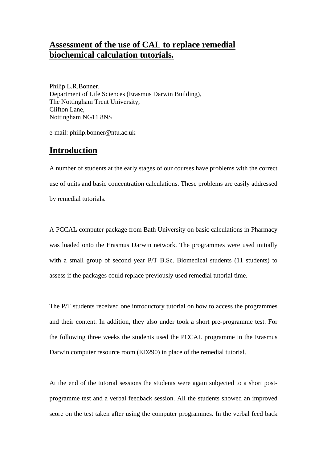## **Assessment of the use of CAL to replace remedial biochemical calculation tutorials.**

Philip L.R.Bonner, Department of Life Sciences (Erasmus Darwin Building), The Nottingham Trent University, Clifton Lane, Nottingham NG11 8NS

e-mail: philip.bonner@ntu.ac.uk

### **Introduction**

A number of students at the early stages of our courses have problems with the correct use of units and basic concentration calculations. These problems are easily addressed by remedial tutorials.

A PCCAL computer package from Bath University on basic calculations in Pharmacy was loaded onto the Erasmus Darwin network. The programmes were used initially with a small group of second year P/T B.Sc. Biomedical students (11 students) to assess if the packages could replace previously used remedial tutorial time.

The P/T students received one introductory tutorial on how to access the programmes and their content. In addition, they also under took a short pre-programme test. For the following three weeks the students used the PCCAL programme in the Erasmus Darwin computer resource room (ED290) in place of the remedial tutorial.

At the end of the tutorial sessions the students were again subjected to a short postprogramme test and a verbal feedback session. All the students showed an improved score on the test taken after using the computer programmes. In the verbal feed back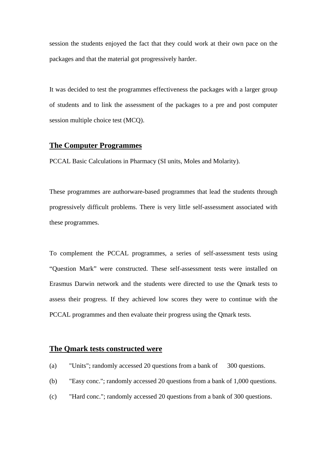session the students enjoyed the fact that they could work at their own pace on the packages and that the material got progressively harder.

It was decided to test the programmes effectiveness the packages with a larger group of students and to link the assessment of the packages to a pre and post computer session multiple choice test (MCQ).

#### **The Computer Programmes**

PCCAL Basic Calculations in Pharmacy (SI units, Moles and Molarity).

These programmes are authorware-based programmes that lead the students through progressively difficult problems. There is very little self-assessment associated with these programmes.

To complement the PCCAL programmes, a series of self-assessment tests using "Question Mark" were constructed. These self-assessment tests were installed on Erasmus Darwin network and the students were directed to use the Qmark tests to assess their progress. If they achieved low scores they were to continue with the PCCAL programmes and then evaluate their progress using the Qmark tests.

#### **The Qmark tests constructed were**

- (a) "Units"; randomly accessed 20 questions from a bank of 300 questions.
- (b) "Easy conc."; randomly accessed 20 questions from a bank of 1,000 questions.
- (c) "Hard conc."; randomly accessed 20 questions from a bank of 300 questions.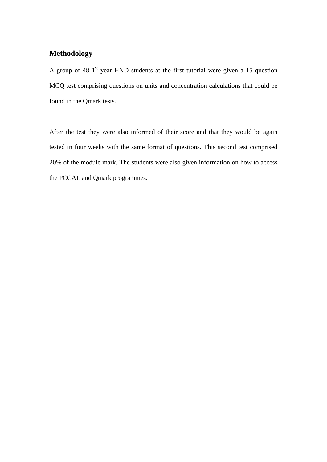## **Methodology**

A group of 48  $1<sup>st</sup>$  year HND students at the first tutorial were given a 15 question MCQ test comprising questions on units and concentration calculations that could be found in the Qmark tests.

After the test they were also informed of their score and that they would be again tested in four weeks with the same format of questions. This second test comprised 20% of the module mark. The students were also given information on how to access the PCCAL and Qmark programmes.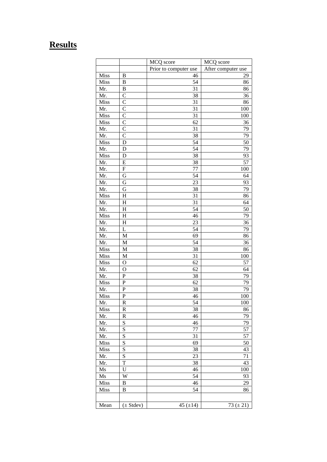# **Results**

|             |                | MCQ score             | MCQ score          |
|-------------|----------------|-----------------------|--------------------|
|             |                | Prior to computer use | After computer use |
| Miss        | B              | 46                    | 29                 |
| <b>Miss</b> | B              | 54                    | 86                 |
| Mr.         | B              | 31                    | 86                 |
| Mr.         | $\overline{C}$ | $\overline{38}$       | 36                 |
| Miss        | $\overline{C}$ | 31                    | 86                 |
| Mr.         | $\mathbf C$    | 31                    | 100                |
| Miss        | $\mathbf C$    | 31                    | 100                |
| Miss        | $\overline{C}$ | 62                    | 36                 |
| Mr.         | $\overline{C}$ | 31                    | 79                 |
| Mr.         | $\mathbf C$    | 38                    | 79                 |
| Miss        | D              | 54                    | 50                 |
| Mr.         | $\mathbf D$    | $\overline{54}$       | 79                 |
| Miss        | $\mathbf D$    | 38                    | 93                 |
| Mr.         | E              | 38                    | 57                 |
| Mr.         | F              | 77                    | 100                |
| Mr.         | G              | 54                    | 64                 |
| Mr.         | G              | 23                    | 93                 |
| Mr.         | G              | 38                    | 79                 |
| Miss        | $H_{\rm}$      | 31                    | 86                 |
| Mr.         | $H_{\rm}$      | 31                    | 64                 |
| Mr.         | $H_{\rm}$      | 54                    | 50                 |
| Miss        | $H_{\rm}$      | 46                    | 79                 |
| Mr.         | H              | 23                    | 36                 |
| Mr.         | L              | 54                    | 79                 |
| Mr.         | M              | 69                    | 86                 |
| Mr.         | M              | 54                    | 36                 |
| Miss        | M              | 38                    | 86                 |
| Miss        | $\mathbf M$    | 31                    | 100                |
| Miss        | $\overline{O}$ | 62                    | 57                 |
| Mr.         | $\overline{O}$ | 62                    | 64                 |
| Mr.         | ${\bf P}$      | 38                    | 79                 |
| Miss        | ${\bf P}$      | 62                    | 79                 |
| Mr.         | ${\bf P}$      | 38                    | 79                 |
| Miss        | ${\bf P}$      | 46                    | 100                |
| Mr.         | $\mathbf R$    | $\overline{54}$       | 100                |
| Miss        | R              | 38                    | 86                 |
| Mr.         | ${\bf R}$      | 46                    | 79                 |
| Mr.         | S              | 46                    | 79                 |
| Mr.         | S              | 77                    | 57                 |
| Mr.         | S              | 31                    | 57                 |
| Miss        | S              | 69                    | 50                 |
| Miss        | S              | 38                    | 43                 |
| Mr.         | S              | 23                    | 71                 |
| Mr.         | T              | 38                    | 43                 |
| Ms          | U              | 46                    | 100                |
| Ms          | W              | 54                    | 93                 |
| Miss        | B              | 46                    | 29                 |
| Miss        | B              | 54                    | 86                 |
|             |                |                       |                    |
|             |                |                       |                    |
| Mean        | $(\pm$ Stdev)  | 45 $(\pm 14)$         | 73 $(\pm 21)$      |